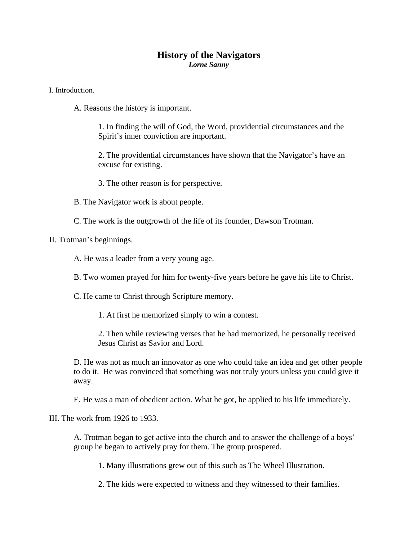## **History of the Navigators**  *Lorne Sanny*

I. Introduction.

A. Reasons the history is important.

1. In finding the will of God, the Word, providential circumstances and the Spirit's inner conviction are important.

2. The providential circumstances have shown that the Navigator's have an excuse for existing.

- 3. The other reason is for perspective.
- B. The Navigator work is about people.
- C. The work is the outgrowth of the life of its founder, Dawson Trotman.

II. Trotman's beginnings.

- A. He was a leader from a very young age.
- B. Two women prayed for him for twenty-five years before he gave his life to Christ.
- C. He came to Christ through Scripture memory.
	- 1. At first he memorized simply to win a contest.

2. Then while reviewing verses that he had memorized, he personally received Jesus Christ as Savior and Lord.

D. He was not as much an innovator as one who could take an idea and get other people to do it. He was convinced that something was not truly yours unless you could give it away.

E. He was a man of obedient action. What he got, he applied to his life immediately.

III. The work from 1926 to 1933.

A. Trotman began to get active into the church and to answer the challenge of a boys' group he began to actively pray for them. The group prospered.

1. Many illustrations grew out of this such as The Wheel Illustration.

2. The kids were expected to witness and they witnessed to their families.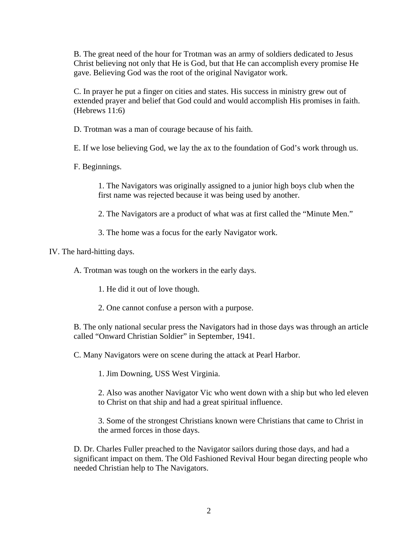B. The great need of the hour for Trotman was an army of soldiers dedicated to Jesus Christ believing not only that He is God, but that He can accomplish every promise He gave. Believing God was the root of the original Navigator work.

C. In prayer he put a finger on cities and states. His success in ministry grew out of extended prayer and belief that God could and would accomplish His promises in faith. (Hebrews 11:6)

D. Trotman was a man of courage because of his faith.

E. If we lose believing God, we lay the ax to the foundation of God's work through us.

F. Beginnings.

1. The Navigators was originally assigned to a junior high boys club when the first name was rejected because it was being used by another.

2. The Navigators are a product of what was at first called the "Minute Men."

3. The home was a focus for the early Navigator work.

IV. The hard-hitting days.

A. Trotman was tough on the workers in the early days.

1. He did it out of love though.

2. One cannot confuse a person with a purpose.

B. The only national secular press the Navigators had in those days was through an article called "Onward Christian Soldier" in September, 1941.

C. Many Navigators were on scene during the attack at Pearl Harbor.

1. Jim Downing, USS West Virginia.

2. Also was another Navigator Vic who went down with a ship but who led eleven to Christ on that ship and had a great spiritual influence.

3. Some of the strongest Christians known were Christians that came to Christ in the armed forces in those days.

D. Dr. Charles Fuller preached to the Navigator sailors during those days, and had a significant impact on them. The Old Fashioned Revival Hour began directing people who needed Christian help to The Navigators.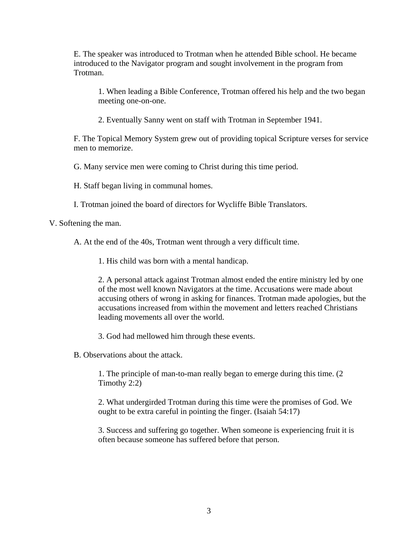E. The speaker was introduced to Trotman when he attended Bible school. He became introduced to the Navigator program and sought involvement in the program from Trotman.

1. When leading a Bible Conference, Trotman offered his help and the two began meeting one-on-one.

2. Eventually Sanny went on staff with Trotman in September 1941.

F. The Topical Memory System grew out of providing topical Scripture verses for service men to memorize.

G. Many service men were coming to Christ during this time period.

H. Staff began living in communal homes.

I. Trotman joined the board of directors for Wycliffe Bible Translators.

V. Softening the man.

A. At the end of the 40s, Trotman went through a very difficult time.

1. His child was born with a mental handicap.

2. A personal attack against Trotman almost ended the entire ministry led by one of the most well known Navigators at the time. Accusations were made about accusing others of wrong in asking for finances. Trotman made apologies, but the accusations increased from within the movement and letters reached Christians leading movements all over the world.

3. God had mellowed him through these events.

B. Observations about the attack.

1. The principle of man-to-man really began to emerge during this time. (2 Timothy 2:2)

2. What undergirded Trotman during this time were the promises of God. We ought to be extra careful in pointing the finger. (Isaiah 54:17)

3. Success and suffering go together. When someone is experiencing fruit it is often because someone has suffered before that person.